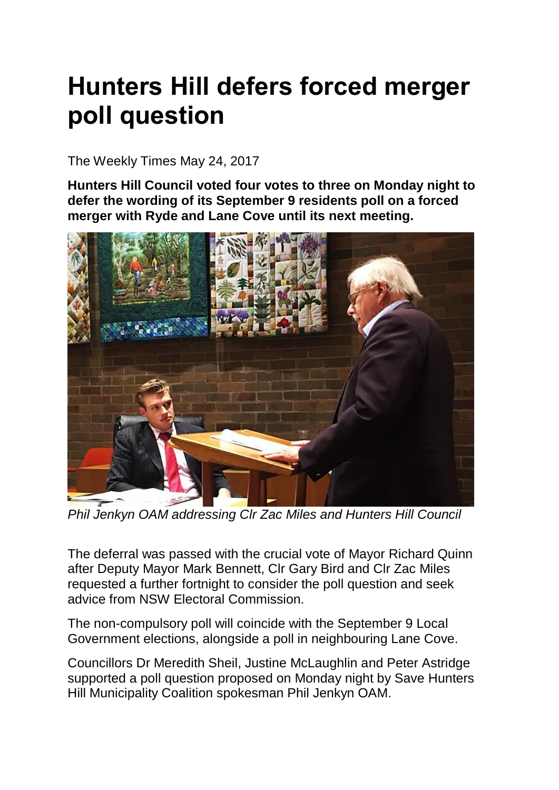## **Hunters Hill defers forced merger poll question**

The Weekly Times May 24, 2017

**Hunters Hill Council voted four votes to three on Monday night to defer the wording of its September 9 residents poll on a forced merger with Ryde and Lane Cove until its next meeting.**



*Phil Jenkyn OAM addressing Clr Zac Miles and Hunters Hill Council*

The deferral was passed with the crucial vote of Mayor Richard Quinn after Deputy Mayor Mark Bennett, Clr Gary Bird and Clr Zac Miles requested a further fortnight to consider the poll question and seek advice from NSW Electoral Commission.

The non-compulsory poll will coincide with the September 9 Local Government elections, alongside a poll in neighbouring Lane Cove.

Councillors Dr Meredith Sheil, Justine McLaughlin and Peter Astridge supported a poll question proposed on Monday night by Save Hunters Hill Municipality Coalition spokesman Phil Jenkyn OAM.